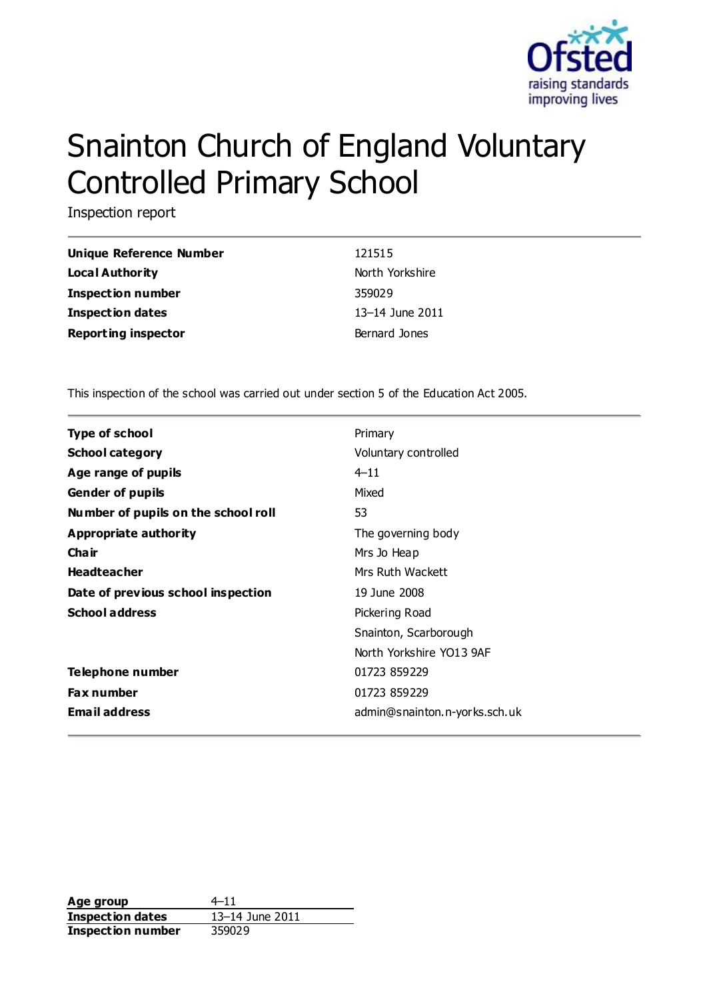

# Snainton Church of England Voluntary Controlled Primary School

Inspection report

| Unique Reference Number    | 121515                |
|----------------------------|-----------------------|
| Local Authority            | North Yorkshire       |
| <b>Inspection number</b>   | 359029                |
| <b>Inspection dates</b>    | $13 - 14$ June $2011$ |
| <b>Reporting inspector</b> | Bernard Jones         |

This inspection of the school was carried out under section 5 of the Education Act 2005.

| <b>Type of school</b>               | Primary                       |
|-------------------------------------|-------------------------------|
| <b>School category</b>              | Voluntary controlled          |
| Age range of pupils                 | $4 - 11$                      |
| <b>Gender of pupils</b>             | Mixed                         |
| Number of pupils on the school roll | 53                            |
| Appropriate authority               | The governing body            |
| Cha ir                              | Mrs Jo Heap                   |
| <b>Headteacher</b>                  | Mrs Ruth Wackett              |
| Date of previous school inspection  | 19 June 2008                  |
| <b>School address</b>               | Pickering Road                |
|                                     | Snainton, Scarborough         |
|                                     | North Yorkshire YO13 9AF      |
| Telephone number                    | 01723 859229                  |
| <b>Fax number</b>                   | 01723 859229                  |
| <b>Email address</b>                | admin@snainton.n-yorks.sch.uk |
|                                     |                               |

Age group  $4-11$ **Inspection dates** 13–14 June 2011 **Inspection number** 359029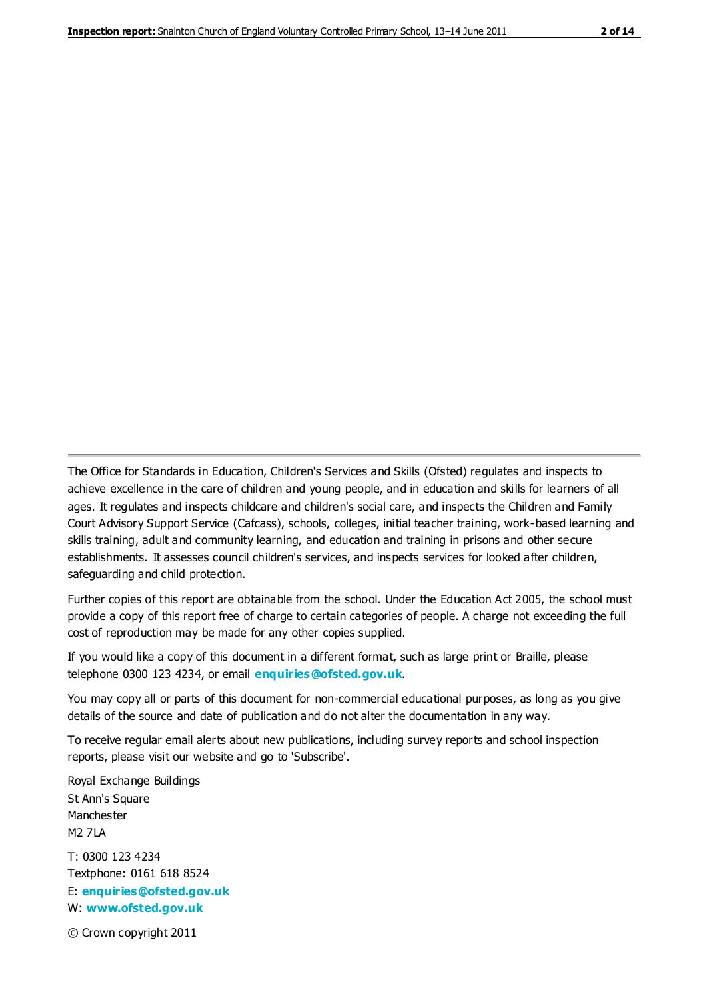The Office for Standards in Education, Children's Services and Skills (Ofsted) regulates and inspects to achieve excellence in the care of children and young people, and in education and skills for learners of all ages. It regulates and inspects childcare and children's social care, and inspects the Children and Family Court Advisory Support Service (Cafcass), schools, colleges, initial teacher training, work-based learning and skills training, adult and community learning, and education and training in prisons and other secure establishments. It assesses council children's services, and inspects services for looked after children, safeguarding and child protection.

Further copies of this report are obtainable from the school. Under the Education Act 2005, the school must provide a copy of this report free of charge to certain categories of people. A charge not exceeding the full cost of reproduction may be made for any other copies supplied.

If you would like a copy of this document in a different format, such as large print or Braille, please telephone 0300 123 4234, or email **[enquiries@ofsted.gov.uk](mailto:enquiries@ofsted.gov.uk)**.

You may copy all or parts of this document for non-commercial educational purposes, as long as you give details of the source and date of publication and do not alter the documentation in any way.

To receive regular email alerts about new publications, including survey reports and school inspection reports, please visit our website and go to 'Subscribe'.

Royal Exchange Buildings St Ann's Square Manchester M2 7LA T: 0300 123 4234 Textphone: 0161 618 8524 E: **[enquiries@ofsted.gov.uk](mailto:enquiries@ofsted.gov.uk)**

W: **[www.ofsted.gov.uk](http://www.ofsted.gov.uk/)**

© Crown copyright 2011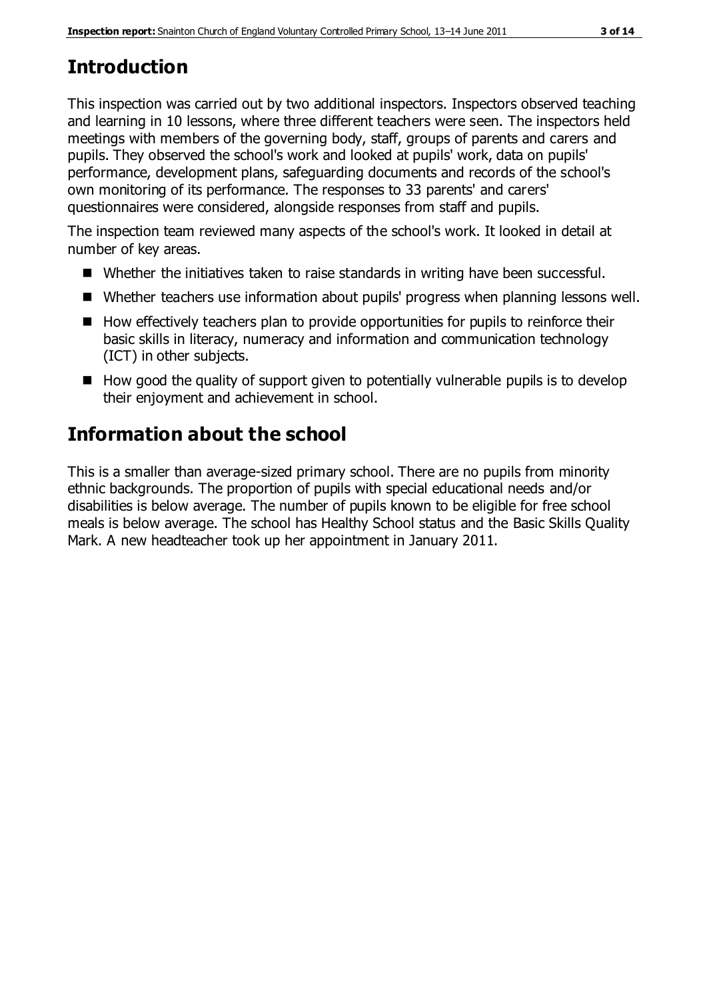# **Introduction**

This inspection was carried out by two additional inspectors. Inspectors observed teaching and learning in 10 lessons, where three different teachers were seen. The inspectors held meetings with members of the governing body, staff, groups of parents and carers and pupils. They observed the school's work and looked at pupils' work, data on pupils' performance, development plans, safeguarding documents and records of the school's own monitoring of its performance. The responses to 33 parents' and carers' questionnaires were considered, alongside responses from staff and pupils.

The inspection team reviewed many aspects of the school's work. It looked in detail at number of key areas.

- Whether the initiatives taken to raise standards in writing have been successful.
- Whether teachers use information about pupils' progress when planning lessons well.
- $\blacksquare$  How effectively teachers plan to provide opportunities for pupils to reinforce their basic skills in literacy, numeracy and information and communication technology (ICT) in other subjects.
- $\blacksquare$  How good the quality of support given to potentially vulnerable pupils is to develop their enjoyment and achievement in school.

# **Information about the school**

This is a smaller than average-sized primary school. There are no pupils from minority ethnic backgrounds. The proportion of pupils with special educational needs and/or disabilities is below average. The number of pupils known to be eligible for free school meals is below average. The school has Healthy School status and the Basic Skills Quality Mark. A new headteacher took up her appointment in January 2011.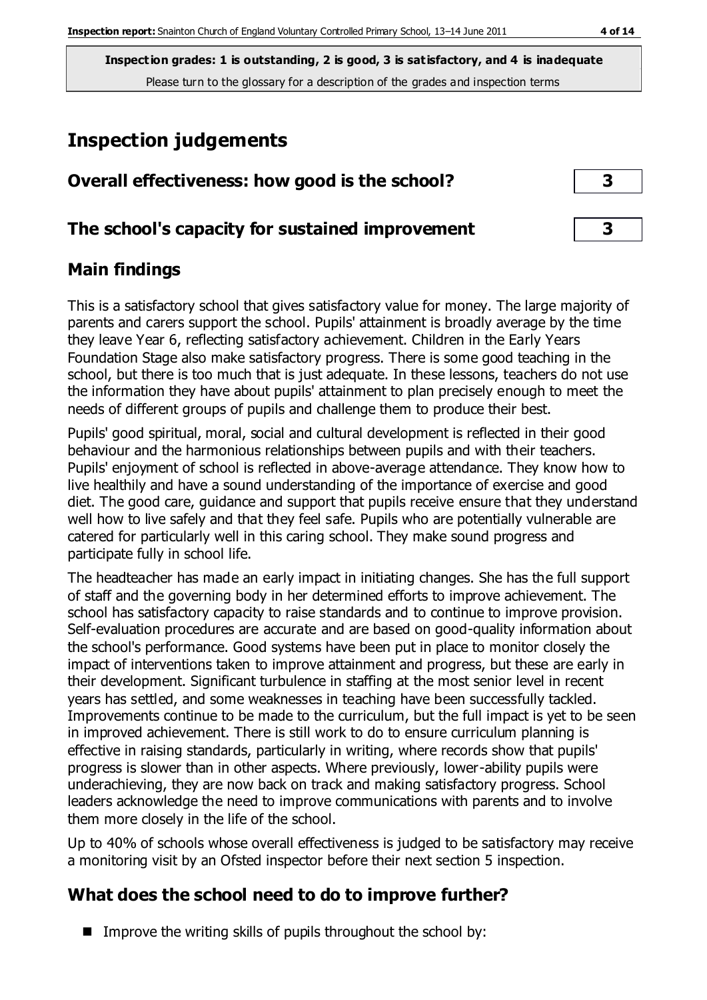# **Inspection judgements**

| Overall effectiveness: how good is the school?  |  |
|-------------------------------------------------|--|
| The school's capacity for sustained improvement |  |

# **Main findings**

This is a satisfactory school that gives satisfactory value for money. The large majority of parents and carers support the school. Pupils' attainment is broadly average by the time they leave Year 6, reflecting satisfactory achievement. Children in the Early Years Foundation Stage also make satisfactory progress. There is some good teaching in the school, but there is too much that is just adequate. In these lessons, teachers do not use the information they have about pupils' attainment to plan precisely enough to meet the needs of different groups of pupils and challenge them to produce their best.

Pupils' good spiritual, moral, social and cultural development is reflected in their good behaviour and the harmonious relationships between pupils and with their teachers. Pupils' enjoyment of school is reflected in above-average attendance. They know how to live healthily and have a sound understanding of the importance of exercise and good diet. The good care, guidance and support that pupils receive ensure that they understand well how to live safely and that they feel safe. Pupils who are potentially vulnerable are catered for particularly well in this caring school. They make sound progress and participate fully in school life.

The headteacher has made an early impact in initiating changes. She has the full support of staff and the governing body in her determined efforts to improve achievement. The school has satisfactory capacity to raise standards and to continue to improve provision. Self-evaluation procedures are accurate and are based on good-quality information about the school's performance. Good systems have been put in place to monitor closely the impact of interventions taken to improve attainment and progress, but these are early in their development. Significant turbulence in staffing at the most senior level in recent years has settled, and some weaknesses in teaching have been successfully tackled. Improvements continue to be made to the curriculum, but the full impact is yet to be seen in improved achievement. There is still work to do to ensure curriculum planning is effective in raising standards, particularly in writing, where records show that pupils' progress is slower than in other aspects. Where previously, lower-ability pupils were underachieving, they are now back on track and making satisfactory progress. School leaders acknowledge the need to improve communications with parents and to involve them more closely in the life of the school.

Up to 40% of schools whose overall effectiveness is judged to be satisfactory may receive a monitoring visit by an Ofsted inspector before their next section 5 inspection.

# **What does the school need to do to improve further?**

Improve the writing skills of pupils throughout the school by: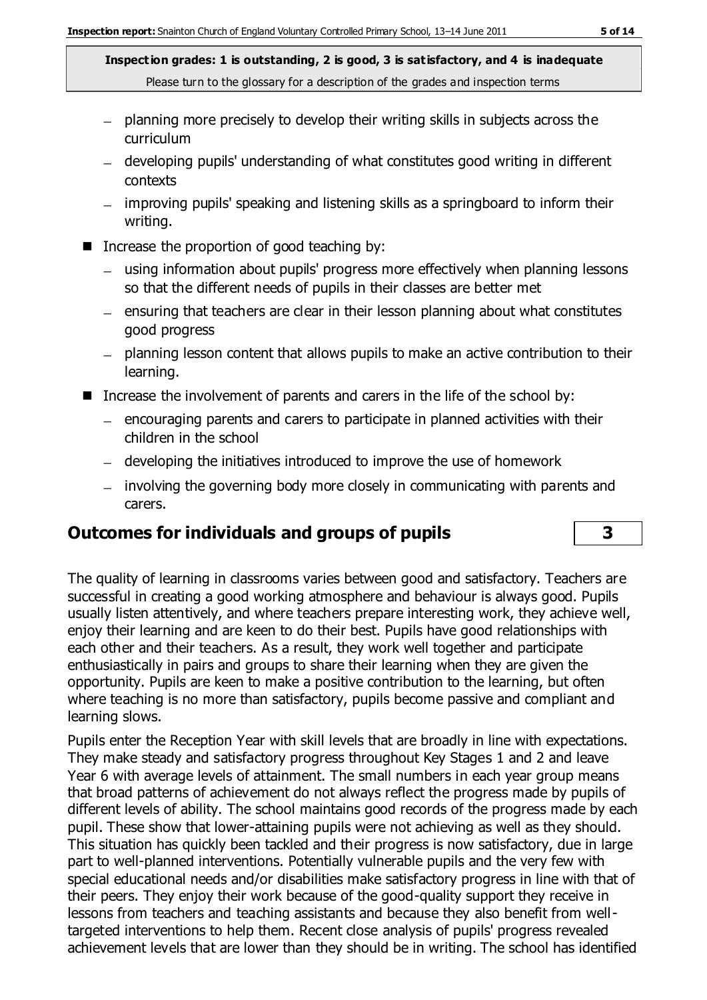- planning more precisely to develop their writing skills in subjects across the curriculum
- developing pupils' understanding of what constitutes good writing in different contexts
- improving pupils' speaking and listening skills as a springboard to inform their writing.
- Increase the proportion of good teaching by:
	- using information about pupils' progress more effectively when planning lessons so that the different needs of pupils in their classes are better met
	- $-$  ensuring that teachers are clear in their lesson planning about what constitutes good progress
	- planning lesson content that allows pupils to make an active contribution to their learning.
- Increase the involvement of parents and carers in the life of the school by:
	- $-$  encouraging parents and carers to participate in planned activities with their children in the school
	- developing the initiatives introduced to improve the use of homework
	- involving the governing body more closely in communicating with parents and carers.

# **Outcomes for individuals and groups of pupils 3**

The quality of learning in classrooms varies between good and satisfactory. Teachers are successful in creating a good working atmosphere and behaviour is always good. Pupils usually listen attentively, and where teachers prepare interesting work, they achieve well, enjoy their learning and are keen to do their best. Pupils have good relationships with each other and their teachers. As a result, they work well together and participate enthusiastically in pairs and groups to share their learning when they are given the opportunity. Pupils are keen to make a positive contribution to the learning, but often where teaching is no more than satisfactory, pupils become passive and compliant and learning slows.

Pupils enter the Reception Year with skill levels that are broadly in line with expectations. They make steady and satisfactory progress throughout Key Stages 1 and 2 and leave Year 6 with average levels of attainment. The small numbers in each year group means that broad patterns of achievement do not always reflect the progress made by pupils of different levels of ability. The school maintains good records of the progress made by each pupil. These show that lower-attaining pupils were not achieving as well as they should. This situation has quickly been tackled and their progress is now satisfactory, due in large part to well-planned interventions. Potentially vulnerable pupils and the very few with special educational needs and/or disabilities make satisfactory progress in line with that of their peers. They enjoy their work because of the good-quality support they receive in lessons from teachers and teaching assistants and because they also benefit from welltargeted interventions to help them. Recent close analysis of pupils' progress revealed achievement levels that are lower than they should be in writing. The school has identified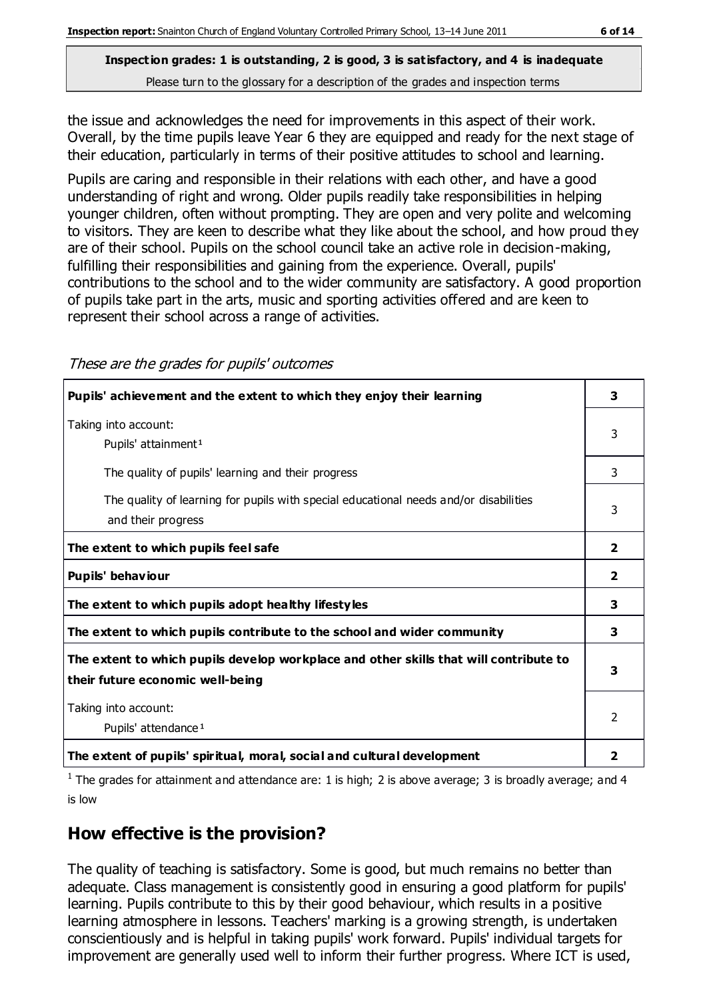the issue and acknowledges the need for improvements in this aspect of their work. Overall, by the time pupils leave Year 6 they are equipped and ready for the next stage of their education, particularly in terms of their positive attitudes to school and learning.

Pupils are caring and responsible in their relations with each other, and have a good understanding of right and wrong. Older pupils readily take responsibilities in helping younger children, often without prompting. They are open and very polite and welcoming to visitors. They are keen to describe what they like about the school, and how proud they are of their school. Pupils on the school council take an active role in decision-making, fulfilling their responsibilities and gaining from the experience. Overall, pupils' contributions to the school and to the wider community are satisfactory. A good proportion of pupils take part in the arts, music and sporting activities offered and are keen to represent their school across a range of activities.

| These are the grades for pupils' outcomes |  |
|-------------------------------------------|--|
|-------------------------------------------|--|

| Pupils' achievement and the extent to which they enjoy their learning                                                     | 3             |
|---------------------------------------------------------------------------------------------------------------------------|---------------|
| Taking into account:<br>Pupils' attainment <sup>1</sup>                                                                   | 3             |
| The quality of pupils' learning and their progress                                                                        | 3             |
| The quality of learning for pupils with special educational needs and/or disabilities<br>and their progress               | 3             |
| The extent to which pupils feel safe                                                                                      | 2             |
| Pupils' behaviour                                                                                                         | 2             |
| The extent to which pupils adopt healthy lifestyles                                                                       | 3             |
| The extent to which pupils contribute to the school and wider community                                                   | 3             |
| The extent to which pupils develop workplace and other skills that will contribute to<br>their future economic well-being | 3             |
| Taking into account:<br>Pupils' attendance <sup>1</sup>                                                                   | $\mathcal{P}$ |
| The extent of pupils' spiritual, moral, social and cultural development                                                   | 2             |

<sup>1</sup> The grades for attainment and attendance are: 1 is high; 2 is above average; 3 is broadly average; and 4 is low

# **How effective is the provision?**

The quality of teaching is satisfactory. Some is good, but much remains no better than adequate. Class management is consistently good in ensuring a good platform for pupils' learning. Pupils contribute to this by their good behaviour, which results in a positive learning atmosphere in lessons. Teachers' marking is a growing strength, is undertaken conscientiously and is helpful in taking pupils' work forward. Pupils' individual targets for improvement are generally used well to inform their further progress. Where ICT is used,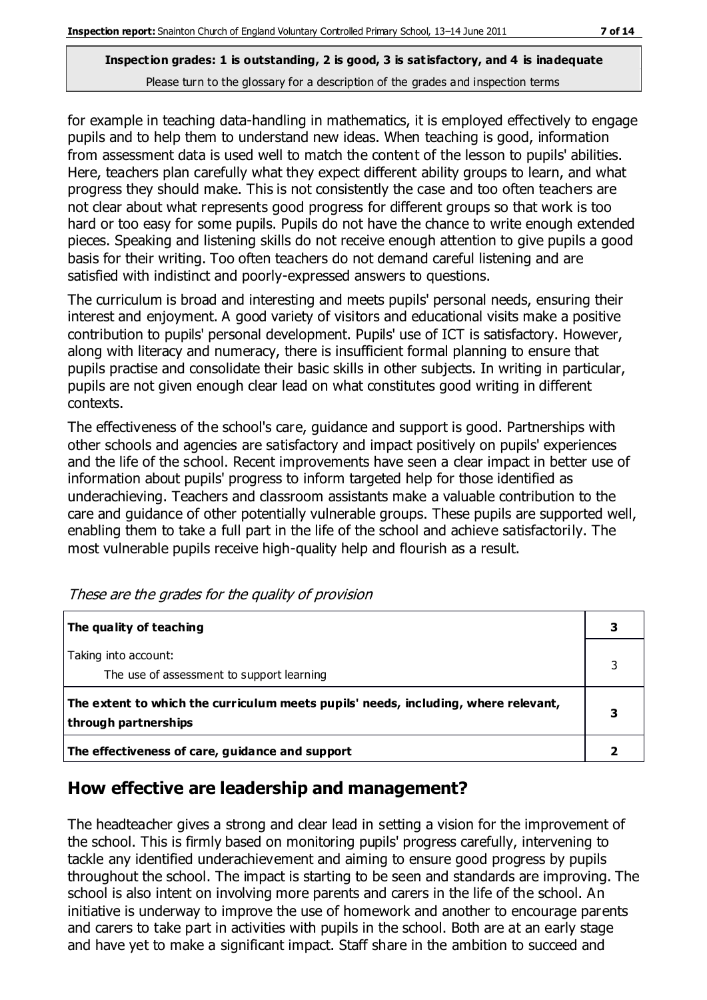for example in teaching data-handling in mathematics, it is employed effectively to engage pupils and to help them to understand new ideas. When teaching is good, information from assessment data is used well to match the content of the lesson to pupils' abilities. Here, teachers plan carefully what they expect different ability groups to learn, and what progress they should make. This is not consistently the case and too often teachers are not clear about what represents good progress for different groups so that work is too hard or too easy for some pupils. Pupils do not have the chance to write enough extended pieces. Speaking and listening skills do not receive enough attention to give pupils a good basis for their writing. Too often teachers do not demand careful listening and are satisfied with indistinct and poorly-expressed answers to questions.

The curriculum is broad and interesting and meets pupils' personal needs, ensuring their interest and enjoyment. A good variety of visitors and educational visits make a positive contribution to pupils' personal development. Pupils' use of ICT is satisfactory. However, along with literacy and numeracy, there is insufficient formal planning to ensure that pupils practise and consolidate their basic skills in other subjects. In writing in particular, pupils are not given enough clear lead on what constitutes good writing in different contexts.

The effectiveness of the school's care, guidance and support is good. Partnerships with other schools and agencies are satisfactory and impact positively on pupils' experiences and the life of the school. Recent improvements have seen a clear impact in better use of information about pupils' progress to inform targeted help for those identified as underachieving. Teachers and classroom assistants make a valuable contribution to the care and guidance of other potentially vulnerable groups. These pupils are supported well, enabling them to take a full part in the life of the school and achieve satisfactorily. The most vulnerable pupils receive high-quality help and flourish as a result.

| The quality of teaching                                                                                    |  |
|------------------------------------------------------------------------------------------------------------|--|
| Taking into account:<br>The use of assessment to support learning                                          |  |
| The extent to which the curriculum meets pupils' needs, including, where relevant,<br>through partnerships |  |
| The effectiveness of care, guidance and support                                                            |  |

These are the grades for the quality of provision

# **How effective are leadership and management?**

The headteacher gives a strong and clear lead in setting a vision for the improvement of the school. This is firmly based on monitoring pupils' progress carefully, intervening to tackle any identified underachievement and aiming to ensure good progress by pupils throughout the school. The impact is starting to be seen and standards are improving. The school is also intent on involving more parents and carers in the life of the school. An initiative is underway to improve the use of homework and another to encourage parents and carers to take part in activities with pupils in the school. Both are at an early stage and have yet to make a significant impact. Staff share in the ambition to succeed and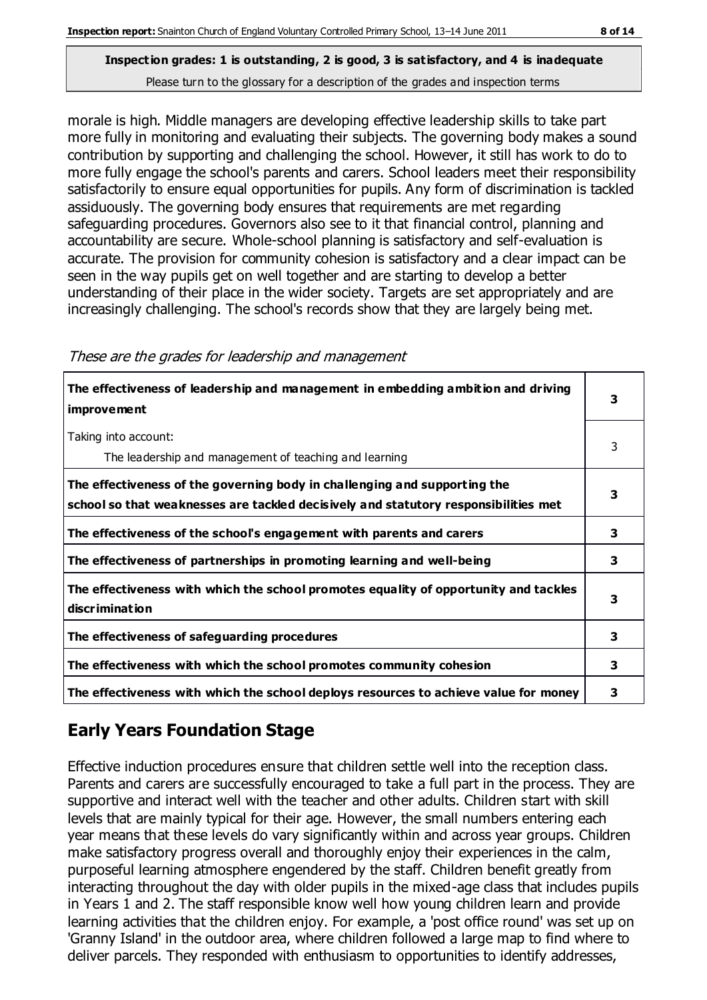morale is high. Middle managers are developing effective leadership skills to take part more fully in monitoring and evaluating their subjects. The governing body makes a sound contribution by supporting and challenging the school. However, it still has work to do to more fully engage the school's parents and carers. School leaders meet their responsibility satisfactorily to ensure equal opportunities for pupils. Any form of discrimination is tackled assiduously. The governing body ensures that requirements are met regarding safeguarding procedures. Governors also see to it that financial control, planning and accountability are secure. Whole-school planning is satisfactory and self-evaluation is accurate. The provision for community cohesion is satisfactory and a clear impact can be seen in the way pupils get on well together and are starting to develop a better understanding of their place in the wider society. Targets are set appropriately and are increasingly challenging. The school's records show that they are largely being met.

| The effectiveness of leadership and management in embedding ambition and driving<br>improvement                                                                  |   |
|------------------------------------------------------------------------------------------------------------------------------------------------------------------|---|
| Taking into account:<br>The leadership and management of teaching and learning                                                                                   | 3 |
| The effectiveness of the governing body in challenging and supporting the<br>school so that weaknesses are tackled decisively and statutory responsibilities met | 3 |
| The effectiveness of the school's engagement with parents and carers                                                                                             | 3 |
| The effectiveness of partnerships in promoting learning and well-being                                                                                           | 3 |
| The effectiveness with which the school promotes equality of opportunity and tackles<br>discrimination                                                           | 3 |
| The effectiveness of safeguarding procedures                                                                                                                     | 3 |
| The effectiveness with which the school promotes community cohesion                                                                                              | 3 |
| The effectiveness with which the school deploys resources to achieve value for money                                                                             | з |

These are the grades for leadership and management

# **Early Years Foundation Stage**

Effective induction procedures ensure that children settle well into the reception class. Parents and carers are successfully encouraged to take a full part in the process. They are supportive and interact well with the teacher and other adults. Children start with skill levels that are mainly typical for their age. However, the small numbers entering each year means that these levels do vary significantly within and across year groups. Children make satisfactory progress overall and thoroughly enjoy their experiences in the calm, purposeful learning atmosphere engendered by the staff. Children benefit greatly from interacting throughout the day with older pupils in the mixed-age class that includes pupils in Years 1 and 2. The staff responsible know well how young children learn and provide learning activities that the children enjoy. For example, a 'post office round' was set up on 'Granny Island' in the outdoor area, where children followed a large map to find where to deliver parcels. They responded with enthusiasm to opportunities to identify addresses,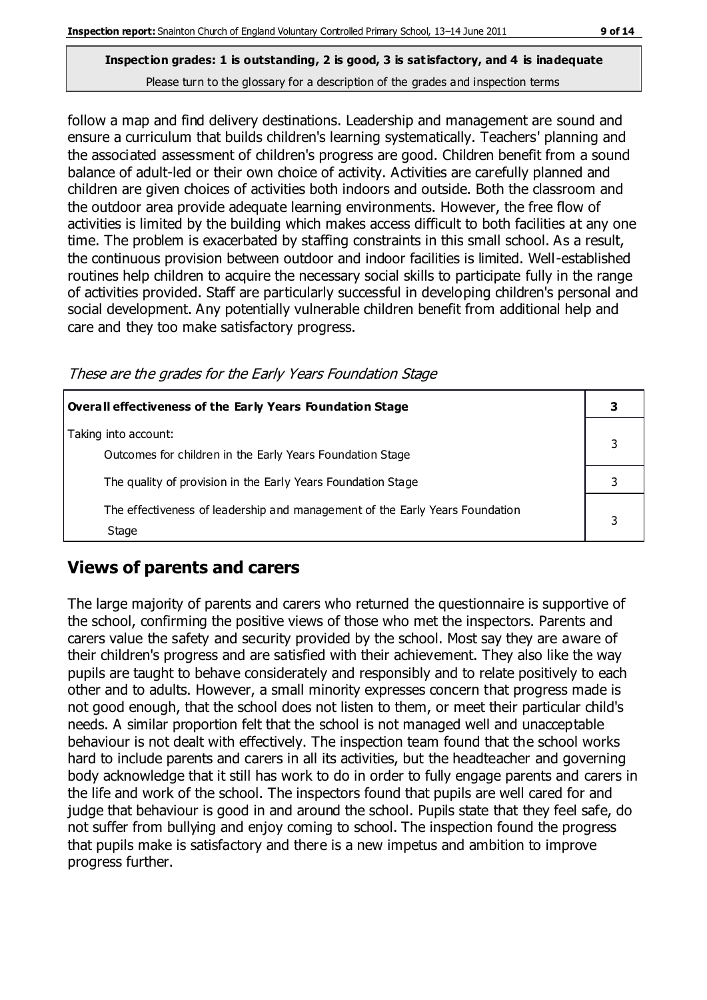follow a map and find delivery destinations. Leadership and management are sound and ensure a curriculum that builds children's learning systematically. Teachers' planning and the associated assessment of children's progress are good. Children benefit from a sound balance of adult-led or their own choice of activity. Activities are carefully planned and children are given choices of activities both indoors and outside. Both the classroom and the outdoor area provide adequate learning environments. However, the free flow of activities is limited by the building which makes access difficult to both facilities at any one time. The problem is exacerbated by staffing constraints in this small school. As a result, the continuous provision between outdoor and indoor facilities is limited. Well-established routines help children to acquire the necessary social skills to participate fully in the range of activities provided. Staff are particularly successful in developing children's personal and social development. Any potentially vulnerable children benefit from additional help and care and they too make satisfactory progress.

These are the grades for the Early Years Foundation Stage

| Overall effectiveness of the Early Years Foundation Stage                             |  |  |
|---------------------------------------------------------------------------------------|--|--|
| Taking into account:<br>Outcomes for children in the Early Years Foundation Stage     |  |  |
| The quality of provision in the Early Years Foundation Stage                          |  |  |
| The effectiveness of leadership and management of the Early Years Foundation<br>Stage |  |  |

# **Views of parents and carers**

The large majority of parents and carers who returned the questionnaire is supportive of the school, confirming the positive views of those who met the inspectors. Parents and carers value the safety and security provided by the school. Most say they are aware of their children's progress and are satisfied with their achievement. They also like the way pupils are taught to behave considerately and responsibly and to relate positively to each other and to adults. However, a small minority expresses concern that progress made is not good enough, that the school does not listen to them, or meet their particular child's needs. A similar proportion felt that the school is not managed well and unacceptable behaviour is not dealt with effectively. The inspection team found that the school works hard to include parents and carers in all its activities, but the headteacher and governing body acknowledge that it still has work to do in order to fully engage parents and carers in the life and work of the school. The inspectors found that pupils are well cared for and judge that behaviour is good in and around the school. Pupils state that they feel safe, do not suffer from bullying and enjoy coming to school. The inspection found the progress that pupils make is satisfactory and there is a new impetus and ambition to improve progress further.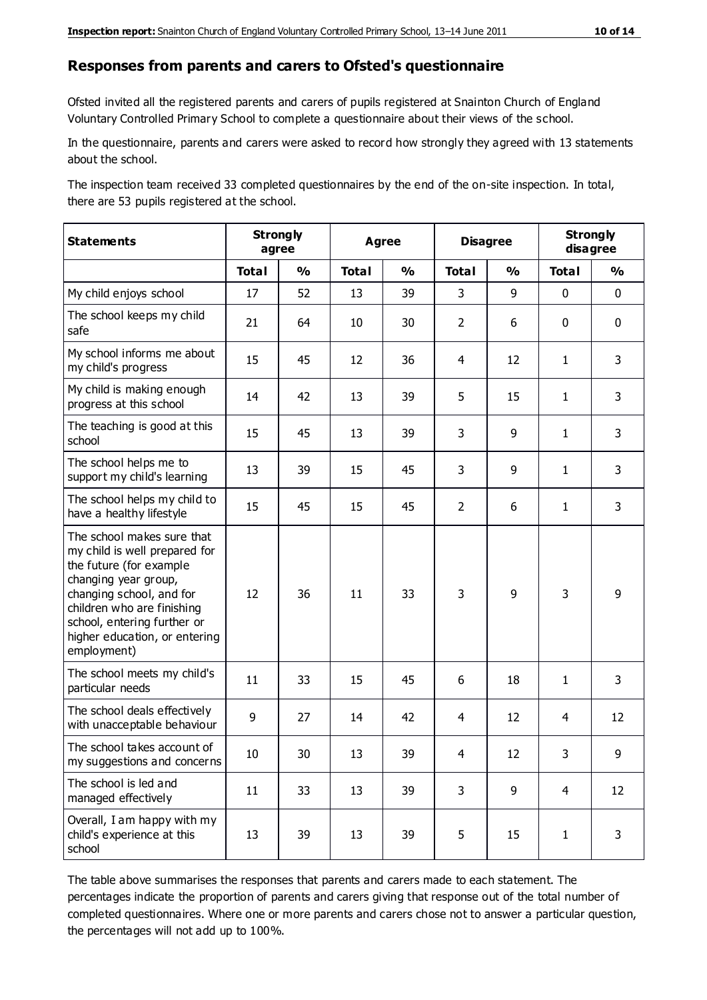#### **Responses from parents and carers to Ofsted's questionnaire**

Ofsted invited all the registered parents and carers of pupils registered at Snainton Church of England Voluntary Controlled Primary School to complete a questionnaire about their views of the school.

In the questionnaire, parents and carers were asked to record how strongly they agreed with 13 statements about the school.

The inspection team received 33 completed questionnaires by the end of the on-site inspection. In total, there are 53 pupils registered at the school.

| <b>Statements</b>                                                                                                                                                                                                                                       | <b>Strongly</b><br>agree |               | Agree        |               | <b>Disagree</b> |               | <b>Strongly</b><br>disagree |               |
|---------------------------------------------------------------------------------------------------------------------------------------------------------------------------------------------------------------------------------------------------------|--------------------------|---------------|--------------|---------------|-----------------|---------------|-----------------------------|---------------|
|                                                                                                                                                                                                                                                         | <b>Total</b>             | $\frac{1}{2}$ | <b>Total</b> | $\frac{1}{2}$ | <b>Total</b>    | $\frac{0}{0}$ | <b>Total</b>                | $\frac{0}{0}$ |
| My child enjoys school                                                                                                                                                                                                                                  | 17                       | 52            | 13           | 39            | 3               | 9             | $\mathbf 0$                 | $\mathbf 0$   |
| The school keeps my child<br>safe                                                                                                                                                                                                                       | 21                       | 64            | 10           | 30            | $\overline{2}$  | 6             | $\mathbf 0$                 | $\mathbf 0$   |
| My school informs me about<br>my child's progress                                                                                                                                                                                                       | 15                       | 45            | 12           | 36            | 4               | 12            | $\mathbf{1}$                | 3             |
| My child is making enough<br>progress at this school                                                                                                                                                                                                    | 14                       | 42            | 13           | 39            | 5               | 15            | $\mathbf{1}$                | 3             |
| The teaching is good at this<br>school                                                                                                                                                                                                                  | 15                       | 45            | 13           | 39            | 3               | 9             | $\mathbf{1}$                | 3             |
| The school helps me to<br>support my child's learning                                                                                                                                                                                                   | 13                       | 39            | 15           | 45            | 3               | 9             | $\mathbf{1}$                | 3             |
| The school helps my child to<br>have a healthy lifestyle                                                                                                                                                                                                | 15                       | 45            | 15           | 45            | $\overline{2}$  | 6             | $\mathbf{1}$                | 3             |
| The school makes sure that<br>my child is well prepared for<br>the future (for example<br>changing year group,<br>changing school, and for<br>children who are finishing<br>school, entering further or<br>higher education, or entering<br>employment) | 12                       | 36            | 11           | 33            | 3               | 9             | 3                           | 9             |
| The school meets my child's<br>particular needs                                                                                                                                                                                                         | 11                       | 33            | 15           | 45            | 6               | 18            | $\mathbf{1}$                | 3             |
| The school deals effectively<br>with unacceptable behaviour                                                                                                                                                                                             | 9                        | 27            | 14           | 42            | $\overline{4}$  | 12            | 4                           | 12            |
| The school takes account of<br>my suggestions and concerns                                                                                                                                                                                              | 10                       | 30            | 13           | 39            | 4               | 12            | 3                           | 9             |
| The school is led and<br>managed effectively                                                                                                                                                                                                            | 11                       | 33            | 13           | 39            | 3               | 9             | 4                           | 12            |
| Overall, I am happy with my<br>child's experience at this<br>school                                                                                                                                                                                     | 13                       | 39            | 13           | 39            | 5               | 15            | $\mathbf{1}$                | 3             |

The table above summarises the responses that parents and carers made to each statement. The percentages indicate the proportion of parents and carers giving that response out of the total number of completed questionnaires. Where one or more parents and carers chose not to answer a particular question, the percentages will not add up to 100%.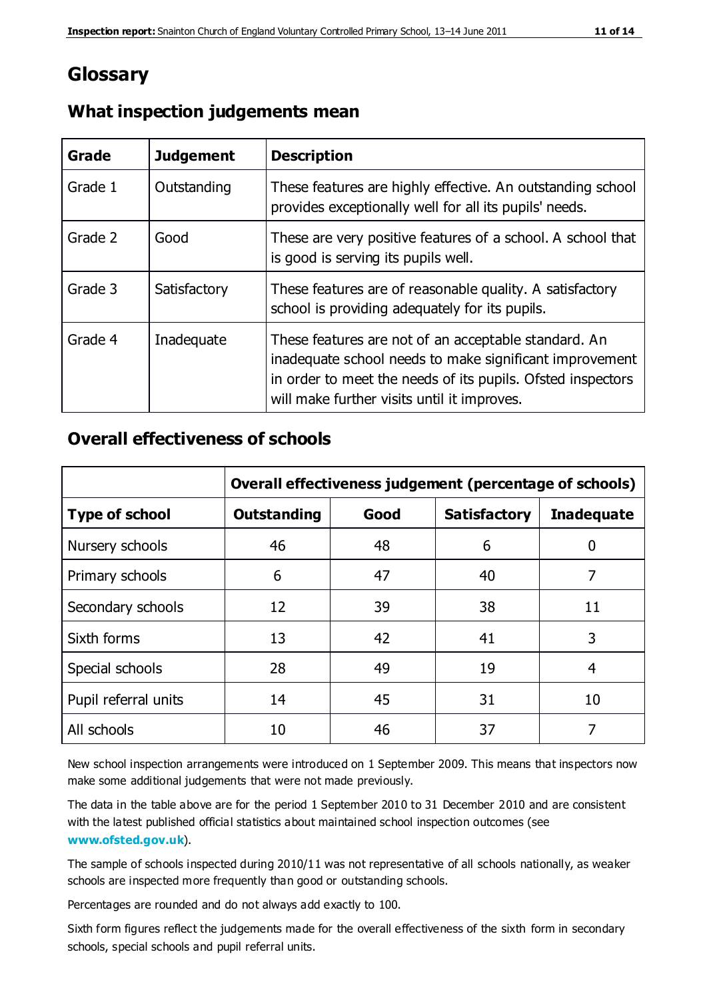# **Glossary**

| Grade   | <b>Judgement</b> | <b>Description</b>                                                                                                                                                                                                            |
|---------|------------------|-------------------------------------------------------------------------------------------------------------------------------------------------------------------------------------------------------------------------------|
| Grade 1 | Outstanding      | These features are highly effective. An outstanding school<br>provides exceptionally well for all its pupils' needs.                                                                                                          |
| Grade 2 | Good             | These are very positive features of a school. A school that<br>is good is serving its pupils well.                                                                                                                            |
| Grade 3 | Satisfactory     | These features are of reasonable quality. A satisfactory<br>school is providing adequately for its pupils.                                                                                                                    |
| Grade 4 | Inadequate       | These features are not of an acceptable standard. An<br>inadequate school needs to make significant improvement<br>in order to meet the needs of its pupils. Ofsted inspectors<br>will make further visits until it improves. |

## **What inspection judgements mean**

## **Overall effectiveness of schools**

|                       | Overall effectiveness judgement (percentage of schools) |      |                     |                   |
|-----------------------|---------------------------------------------------------|------|---------------------|-------------------|
| <b>Type of school</b> | <b>Outstanding</b>                                      | Good | <b>Satisfactory</b> | <b>Inadequate</b> |
| Nursery schools       | 46                                                      | 48   | 6                   |                   |
| Primary schools       | 6                                                       | 47   | 40                  | 7                 |
| Secondary schools     | 12                                                      | 39   | 38                  | 11                |
| Sixth forms           | 13                                                      | 42   | 41                  | 3                 |
| Special schools       | 28                                                      | 49   | 19                  | 4                 |
| Pupil referral units  | 14                                                      | 45   | 31                  | 10                |
| All schools           | 10                                                      | 46   | 37                  |                   |

New school inspection arrangements were introduced on 1 September 2009. This means that inspectors now make some additional judgements that were not made previously.

The data in the table above are for the period 1 September 2010 to 31 December 2010 and are consistent with the latest published official statistics about maintained school inspection outcomes (see **[www.ofsted.gov.uk](http://www.ofsted.gov.uk/)**).

The sample of schools inspected during 2010/11 was not representative of all schools nationally, as weaker schools are inspected more frequently than good or outstanding schools.

Percentages are rounded and do not always add exactly to 100.

Sixth form figures reflect the judgements made for the overall effectiveness of the sixth form in secondary schools, special schools and pupil referral units.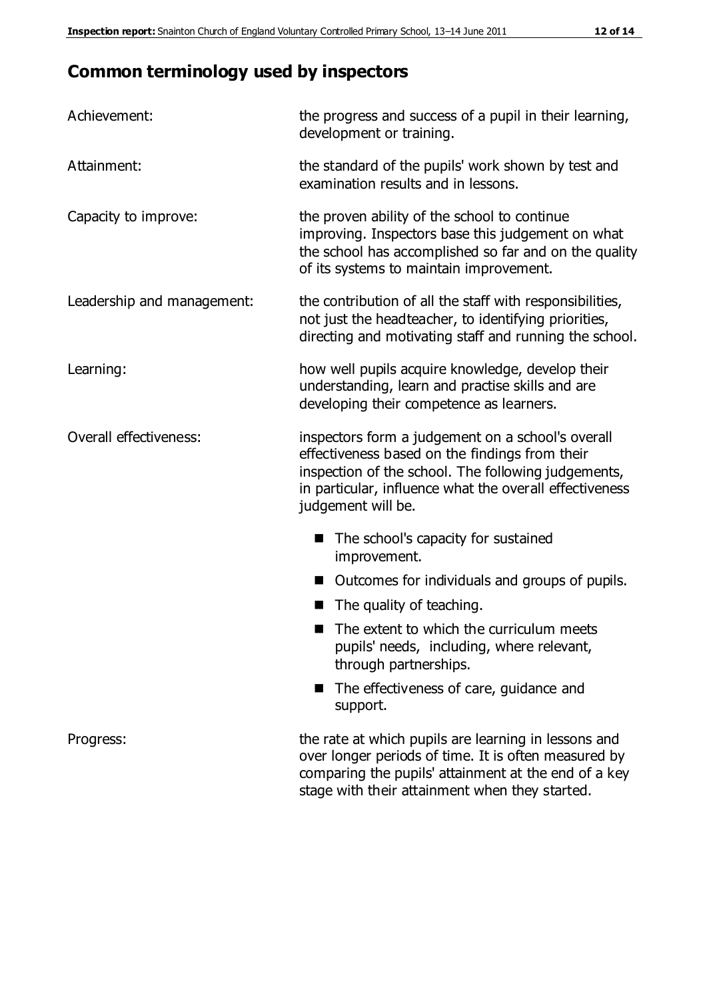# **Common terminology used by inspectors**

| Achievement:               | the progress and success of a pupil in their learning,<br>development or training.                                                                                                                                                          |  |
|----------------------------|---------------------------------------------------------------------------------------------------------------------------------------------------------------------------------------------------------------------------------------------|--|
| Attainment:                | the standard of the pupils' work shown by test and<br>examination results and in lessons.                                                                                                                                                   |  |
| Capacity to improve:       | the proven ability of the school to continue<br>improving. Inspectors base this judgement on what<br>the school has accomplished so far and on the quality<br>of its systems to maintain improvement.                                       |  |
| Leadership and management: | the contribution of all the staff with responsibilities,<br>not just the headteacher, to identifying priorities,<br>directing and motivating staff and running the school.                                                                  |  |
| Learning:                  | how well pupils acquire knowledge, develop their<br>understanding, learn and practise skills and are<br>developing their competence as learners.                                                                                            |  |
| Overall effectiveness:     | inspectors form a judgement on a school's overall<br>effectiveness based on the findings from their<br>inspection of the school. The following judgements,<br>in particular, influence what the overall effectiveness<br>judgement will be. |  |
|                            | The school's capacity for sustained<br>improvement.                                                                                                                                                                                         |  |
|                            | Outcomes for individuals and groups of pupils.                                                                                                                                                                                              |  |
|                            | The quality of teaching.                                                                                                                                                                                                                    |  |
|                            | The extent to which the curriculum meets<br>pupils' needs, including, where relevant,<br>through partnerships.                                                                                                                              |  |
|                            | The effectiveness of care, guidance and<br>support.                                                                                                                                                                                         |  |
| Progress:                  | the rate at which pupils are learning in lessons and<br>over longer periods of time. It is often measured by<br>comparing the pupils' attainment at the end of a key                                                                        |  |

stage with their attainment when they started.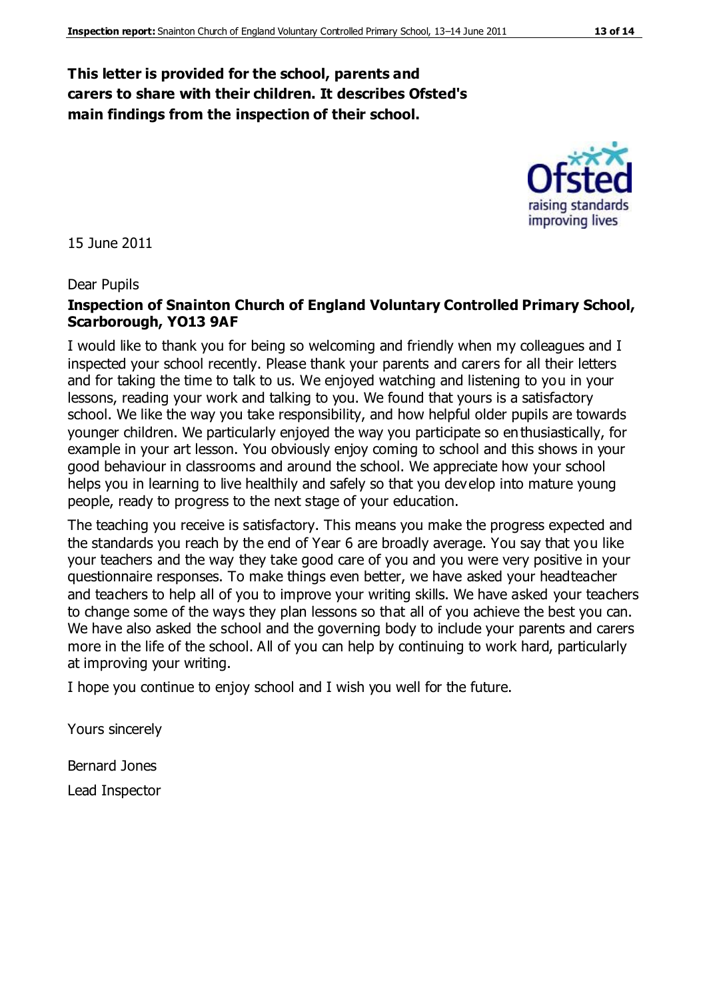## **This letter is provided for the school, parents and carers to share with their children. It describes Ofsted's main findings from the inspection of their school.**

#### 15 June 2011

#### Dear Pupils

#### **Inspection of Snainton Church of England Voluntary Controlled Primary School, Scarborough, YO13 9AF**

I would like to thank you for being so welcoming and friendly when my colleagues and I inspected your school recently. Please thank your parents and carers for all their letters and for taking the time to talk to us. We enjoyed watching and listening to you in your lessons, reading your work and talking to you. We found that yours is a satisfactory school. We like the way you take responsibility, and how helpful older pupils are towards younger children. We particularly enjoyed the way you participate so enthusiastically, for example in your art lesson. You obviously enjoy coming to school and this shows in your good behaviour in classrooms and around the school. We appreciate how your school helps you in learning to live healthily and safely so that you develop into mature young people, ready to progress to the next stage of your education.

The teaching you receive is satisfactory. This means you make the progress expected and the standards you reach by the end of Year 6 are broadly average. You say that you like your teachers and the way they take good care of you and you were very positive in your questionnaire responses. To make things even better, we have asked your headteacher and teachers to help all of you to improve your writing skills. We have asked your teachers to change some of the ways they plan lessons so that all of you achieve the best you can. We have also asked the school and the governing body to include your parents and carers more in the life of the school. All of you can help by continuing to work hard, particularly at improving your writing.

I hope you continue to enjoy school and I wish you well for the future.

Yours sincerely

Bernard Jones Lead Inspector